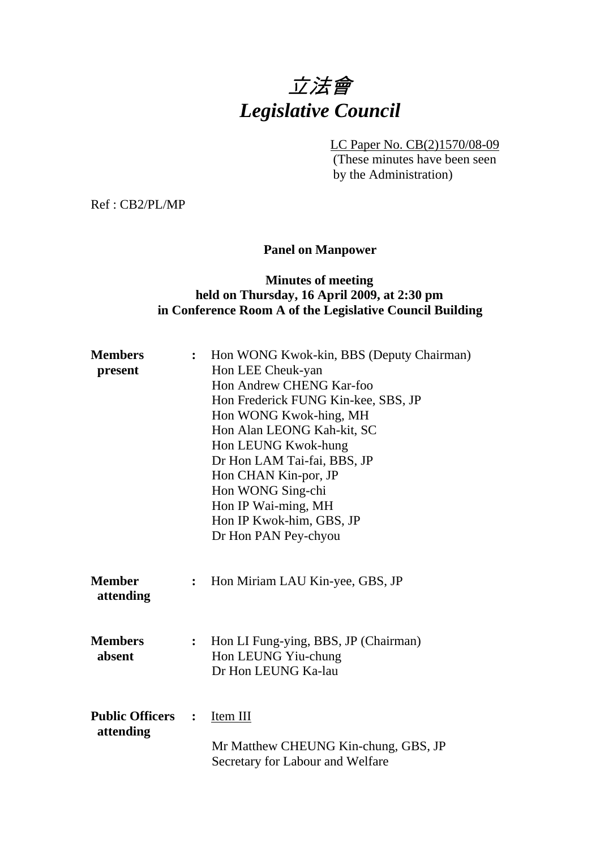# 立法會 *Legislative Council*

LC Paper No. CB(2)1570/08-09

(These minutes have been seen by the Administration)

Ref : CB2/PL/MP

## **Panel on Manpower**

## **Minutes of meeting held on Thursday, 16 April 2009, at 2:30 pm in Conference Room A of the Legislative Council Building**

| <b>Members</b><br>present           | $\ddot{\cdot}$ | Hon WONG Kwok-kin, BBS (Deputy Chairman)<br>Hon LEE Cheuk-yan<br>Hon Andrew CHENG Kar-foo<br>Hon Frederick FUNG Kin-kee, SBS, JP<br>Hon WONG Kwok-hing, MH<br>Hon Alan LEONG Kah-kit, SC<br>Hon LEUNG Kwok-hung<br>Dr Hon LAM Tai-fai, BBS, JP |
|-------------------------------------|----------------|------------------------------------------------------------------------------------------------------------------------------------------------------------------------------------------------------------------------------------------------|
|                                     |                | Hon CHAN Kin-por, JP<br>Hon WONG Sing-chi<br>Hon IP Wai-ming, MH<br>Hon IP Kwok-him, GBS, JP<br>Dr Hon PAN Pey-chyou                                                                                                                           |
| <b>Member</b><br>attending          | $\ddot{\cdot}$ | Hon Miriam LAU Kin-yee, GBS, JP                                                                                                                                                                                                                |
| <b>Members</b><br>absent            | $\ddot{\cdot}$ | Hon LI Fung-ying, BBS, JP (Chairman)<br>Hon LEUNG Yiu-chung<br>Dr Hon LEUNG Ka-lau                                                                                                                                                             |
| <b>Public Officers</b><br>attending | $\ddot{\cdot}$ | Item III<br>Mr Matthew CHEUNG Kin-chung, GBS, JP<br>Secretary for Labour and Welfare                                                                                                                                                           |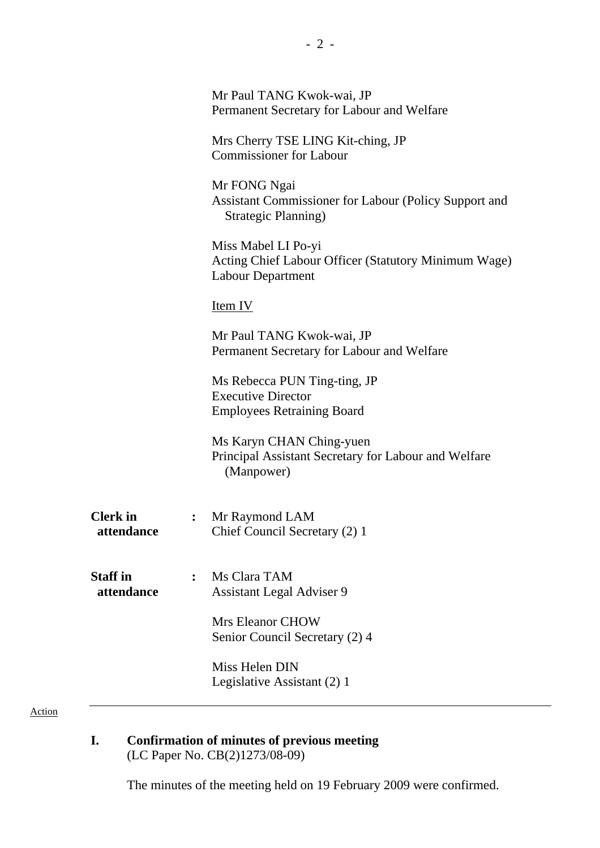|                               |                | Mr Paul TANG Kwok-wai, JP<br>Permanent Secretary for Labour and Welfare                                 |
|-------------------------------|----------------|---------------------------------------------------------------------------------------------------------|
|                               |                | Mrs Cherry TSE LING Kit-ching, JP<br><b>Commissioner for Labour</b>                                     |
|                               |                | Mr FONG Ngai<br>Assistant Commissioner for Labour (Policy Support and<br>Strategic Planning)            |
|                               |                | Miss Mabel LI Po-yi<br>Acting Chief Labour Officer (Statutory Minimum Wage)<br><b>Labour Department</b> |
|                               |                | Item IV                                                                                                 |
|                               |                | Mr Paul TANG Kwok-wai, JP<br>Permanent Secretary for Labour and Welfare                                 |
|                               |                | Ms Rebecca PUN Ting-ting, JP<br><b>Executive Director</b><br><b>Employees Retraining Board</b>          |
|                               |                | Ms Karyn CHAN Ching-yuen<br>Principal Assistant Secretary for Labour and Welfare<br>(Manpower)          |
| <b>Clerk</b> in<br>attendance | $\ddot{\cdot}$ | Mr Raymond LAM<br>Chief Council Secretary (2) 1                                                         |
| <b>Staff</b> in<br>attendance | $\ddot{\cdot}$ | Ms Clara TAM<br><b>Assistant Legal Adviser 9</b>                                                        |
|                               |                | <b>Mrs Eleanor CHOW</b><br>Senior Council Secretary (2) 4                                               |
|                               |                | Miss Helen DIN<br>Legislative Assistant (2) 1                                                           |

**I. Confirmation of minutes of previous meeting**  (LC Paper No. CB(2)1273/08-09)

The minutes of the meeting held on 19 February 2009 were confirmed.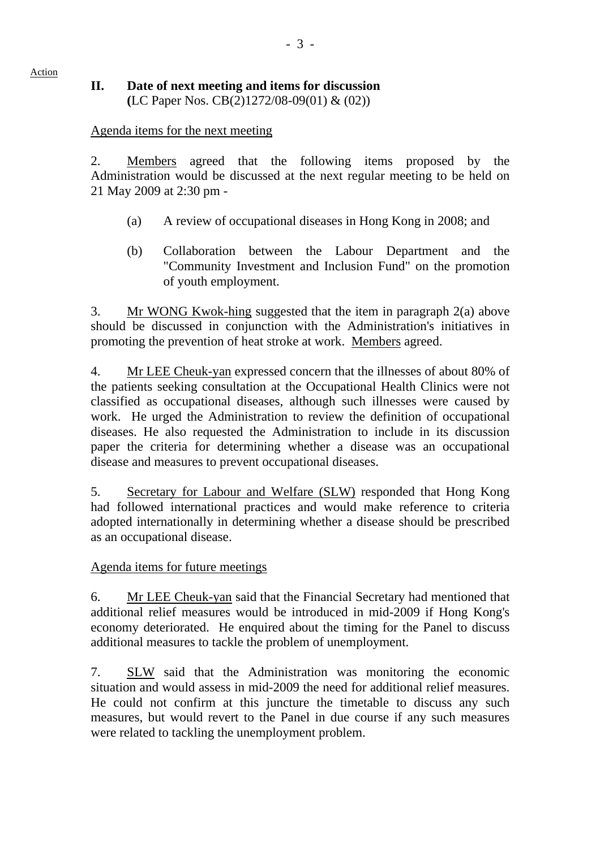# **II. Date of next meeting and items for discussion (**LC Paper Nos. CB(2)1272/08-09(01) & (02))

# Agenda items for the next meeting

Action

2. Members agreed that the following items proposed by the Administration would be discussed at the next regular meeting to be held on 21 May 2009 at 2:30 pm -

- (a) A review of occupational diseases in Hong Kong in 2008; and
- (b) Collaboration between the Labour Department and the "Community Investment and Inclusion Fund" on the promotion of youth employment.

3. Mr WONG Kwok-hing suggested that the item in paragraph 2(a) above should be discussed in conjunction with the Administration's initiatives in promoting the prevention of heat stroke at work. Members agreed.

4. Mr LEE Cheuk-yan expressed concern that the illnesses of about 80% of the patients seeking consultation at the Occupational Health Clinics were not classified as occupational diseases, although such illnesses were caused by work. He urged the Administration to review the definition of occupational diseases. He also requested the Administration to include in its discussion paper the criteria for determining whether a disease was an occupational disease and measures to prevent occupational diseases.

5. Secretary for Labour and Welfare (SLW) responded that Hong Kong had followed international practices and would make reference to criteria adopted internationally in determining whether a disease should be prescribed as an occupational disease.

# Agenda items for future meetings

6. Mr LEE Cheuk-yan said that the Financial Secretary had mentioned that additional relief measures would be introduced in mid-2009 if Hong Kong's economy deteriorated. He enquired about the timing for the Panel to discuss additional measures to tackle the problem of unemployment.

7. SLW said that the Administration was monitoring the economic situation and would assess in mid-2009 the need for additional relief measures. He could not confirm at this juncture the timetable to discuss any such measures, but would revert to the Panel in due course if any such measures were related to tackling the unemployment problem.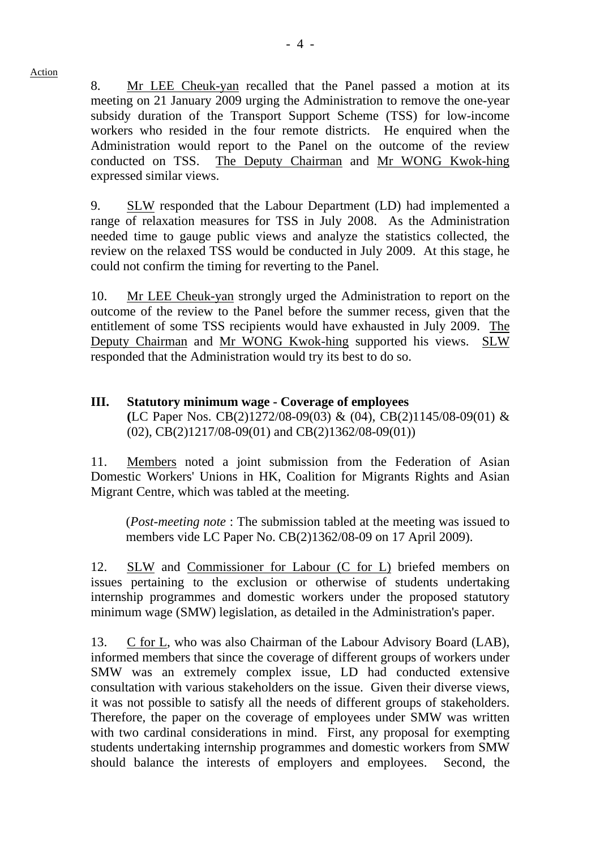8. Mr LEE Cheuk-yan recalled that the Panel passed a motion at its meeting on 21 January 2009 urging the Administration to remove the one-year subsidy duration of the Transport Support Scheme (TSS) for low-income workers who resided in the four remote districts. He enquired when the Administration would report to the Panel on the outcome of the review conducted on TSS. The Deputy Chairman and Mr WONG Kwok-hing expressed similar views.

9. SLW responded that the Labour Department (LD) had implemented a range of relaxation measures for TSS in July 2008. As the Administration needed time to gauge public views and analyze the statistics collected, the review on the relaxed TSS would be conducted in July 2009. At this stage, he could not confirm the timing for reverting to the Panel.

10. Mr LEE Cheuk-yan strongly urged the Administration to report on the outcome of the review to the Panel before the summer recess, given that the entitlement of some TSS recipients would have exhausted in July 2009. The Deputy Chairman and Mr WONG Kwok-hing supported his views. SLW responded that the Administration would try its best to do so.

## **III. Statutory minimum wage - Coverage of employees (**LC Paper Nos. CB(2)1272/08-09(03) & (04), CB(2)1145/08-09(01) &  $(02)$ , CB $(2)1217/08-09(01)$  and CB $(2)1362/08-09(01)$

11. Members noted a joint submission from the Federation of Asian Domestic Workers' Unions in HK, Coalition for Migrants Rights and Asian Migrant Centre, which was tabled at the meeting.

(*Post-meeting note* : The submission tabled at the meeting was issued to members vide LC Paper No. CB(2)1362/08-09 on 17 April 2009).

12. SLW and Commissioner for Labour (C for L) briefed members on issues pertaining to the exclusion or otherwise of students undertaking internship programmes and domestic workers under the proposed statutory minimum wage (SMW) legislation, as detailed in the Administration's paper.

13. C for L, who was also Chairman of the Labour Advisory Board (LAB), informed members that since the coverage of different groups of workers under SMW was an extremely complex issue, LD had conducted extensive consultation with various stakeholders on the issue. Given their diverse views, it was not possible to satisfy all the needs of different groups of stakeholders. Therefore, the paper on the coverage of employees under SMW was written with two cardinal considerations in mind. First, any proposal for exempting students undertaking internship programmes and domestic workers from SMW should balance the interests of employers and employees. Second, the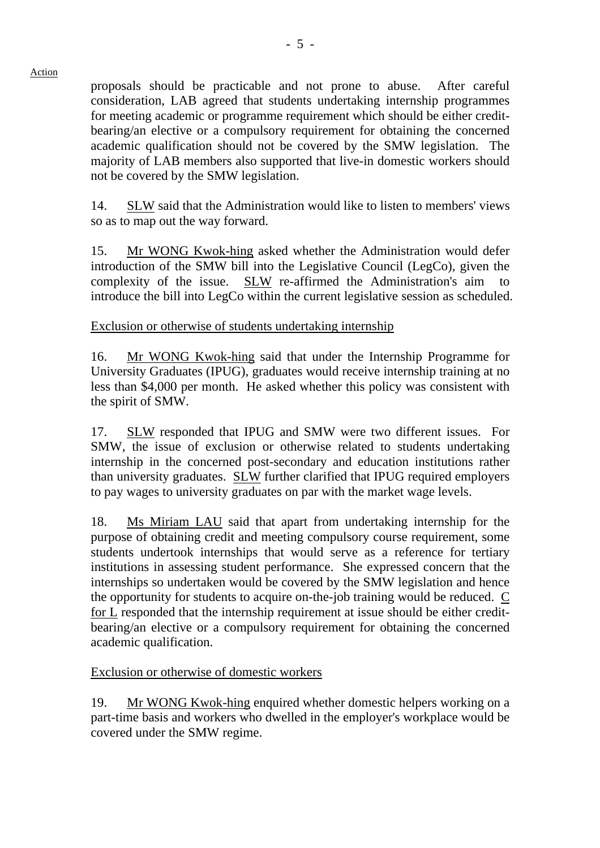proposals should be practicable and not prone to abuse. After careful consideration, LAB agreed that students undertaking internship programmes for meeting academic or programme requirement which should be either creditbearing/an elective or a compulsory requirement for obtaining the concerned academic qualification should not be covered by the SMW legislation. The majority of LAB members also supported that live-in domestic workers should not be covered by the SMW legislation.

14. SLW said that the Administration would like to listen to members' views so as to map out the way forward.

15. Mr WONG Kwok-hing asked whether the Administration would defer introduction of the SMW bill into the Legislative Council (LegCo), given the complexity of the issue. SLW re-affirmed the Administration's aim to introduce the bill into LegCo within the current legislative session as scheduled.

Exclusion or otherwise of students undertaking internship

16. Mr WONG Kwok-hing said that under the Internship Programme for University Graduates (IPUG), graduates would receive internship training at no less than \$4,000 per month. He asked whether this policy was consistent with the spirit of SMW.

17. SLW responded that IPUG and SMW were two different issues. For SMW, the issue of exclusion or otherwise related to students undertaking internship in the concerned post-secondary and education institutions rather than university graduates. SLW further clarified that IPUG required employers to pay wages to university graduates on par with the market wage levels.

18. Ms Miriam LAU said that apart from undertaking internship for the purpose of obtaining credit and meeting compulsory course requirement, some students undertook internships that would serve as a reference for tertiary institutions in assessing student performance. She expressed concern that the internships so undertaken would be covered by the SMW legislation and hence the opportunity for students to acquire on-the-job training would be reduced. C for L responded that the internship requirement at issue should be either creditbearing/an elective or a compulsory requirement for obtaining the concerned academic qualification.

Exclusion or otherwise of domestic workers

19. Mr WONG Kwok-hing enquired whether domestic helpers working on a part-time basis and workers who dwelled in the employer's workplace would be covered under the SMW regime.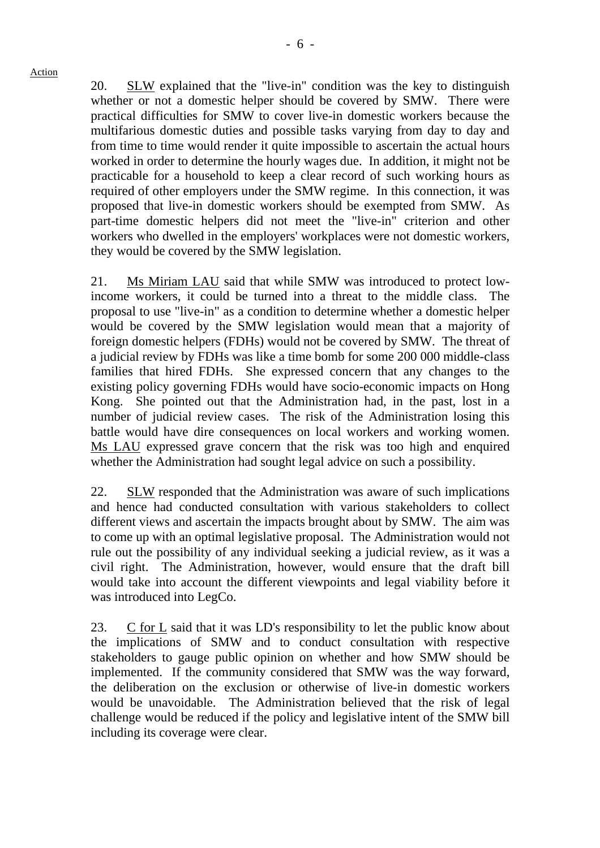20. SLW explained that the "live-in" condition was the key to distinguish whether or not a domestic helper should be covered by SMW. There were practical difficulties for SMW to cover live-in domestic workers because the multifarious domestic duties and possible tasks varying from day to day and from time to time would render it quite impossible to ascertain the actual hours worked in order to determine the hourly wages due. In addition, it might not be practicable for a household to keep a clear record of such working hours as required of other employers under the SMW regime. In this connection, it was proposed that live-in domestic workers should be exempted from SMW. As part-time domestic helpers did not meet the "live-in" criterion and other workers who dwelled in the employers' workplaces were not domestic workers, they would be covered by the SMW legislation.

21. Ms Miriam LAU said that while SMW was introduced to protect lowincome workers, it could be turned into a threat to the middle class. The proposal to use "live-in" as a condition to determine whether a domestic helper would be covered by the SMW legislation would mean that a majority of foreign domestic helpers (FDHs) would not be covered by SMW. The threat of a judicial review by FDHs was like a time bomb for some 200 000 middle-class families that hired FDHs. She expressed concern that any changes to the existing policy governing FDHs would have socio-economic impacts on Hong Kong. She pointed out that the Administration had, in the past, lost in a number of judicial review cases. The risk of the Administration losing this battle would have dire consequences on local workers and working women. Ms LAU expressed grave concern that the risk was too high and enquired whether the Administration had sought legal advice on such a possibility.

22. SLW responded that the Administration was aware of such implications and hence had conducted consultation with various stakeholders to collect different views and ascertain the impacts brought about by SMW. The aim was to come up with an optimal legislative proposal. The Administration would not rule out the possibility of any individual seeking a judicial review, as it was a civil right. The Administration, however, would ensure that the draft bill would take into account the different viewpoints and legal viability before it was introduced into LegCo.

23. C for L said that it was LD's responsibility to let the public know about the implications of SMW and to conduct consultation with respective stakeholders to gauge public opinion on whether and how SMW should be implemented. If the community considered that SMW was the way forward, the deliberation on the exclusion or otherwise of live-in domestic workers would be unavoidable. The Administration believed that the risk of legal challenge would be reduced if the policy and legislative intent of the SMW bill including its coverage were clear.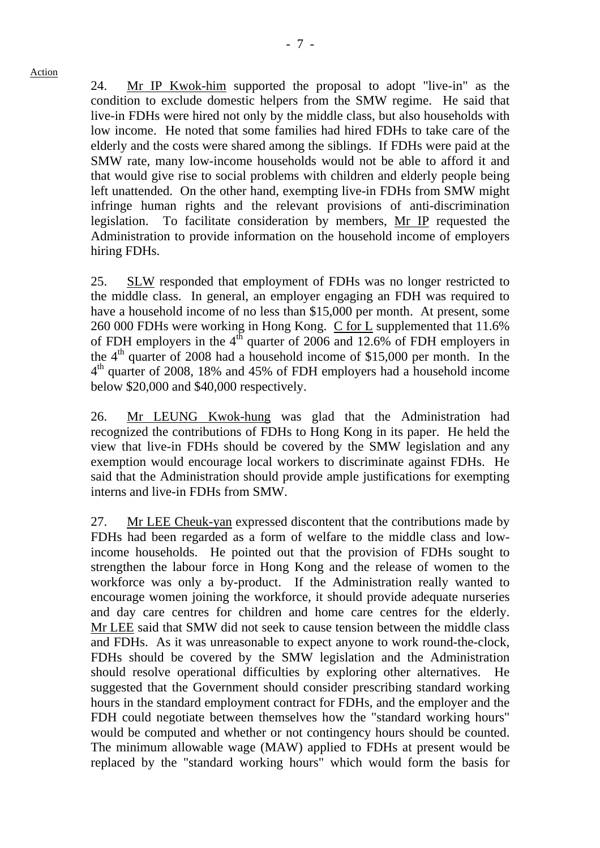24. Mr IP Kwok-him supported the proposal to adopt "live-in" as the condition to exclude domestic helpers from the SMW regime. He said that live-in FDHs were hired not only by the middle class, but also households with low income. He noted that some families had hired FDHs to take care of the elderly and the costs were shared among the siblings. If FDHs were paid at the SMW rate, many low-income households would not be able to afford it and that would give rise to social problems with children and elderly people being left unattended. On the other hand, exempting live-in FDHs from SMW might infringe human rights and the relevant provisions of anti-discrimination legislation. To facilitate consideration by members, Mr IP requested the Administration to provide information on the household income of employers hiring FDHs.

25. SLW responded that employment of FDHs was no longer restricted to the middle class. In general, an employer engaging an FDH was required to have a household income of no less than \$15,000 per month. At present, some 260 000 FDHs were working in Hong Kong. C for L supplemented that 11.6% of FDH employers in the  $4^{th}$  quarter of 2006 and 12.6% of FDH employers in the  $4<sup>th</sup>$  quarter of 2008 had a household income of \$15,000 per month. In the 4th quarter of 2008, 18% and 45% of FDH employers had a household income below \$20,000 and \$40,000 respectively.

26. Mr LEUNG Kwok-hung was glad that the Administration had recognized the contributions of FDHs to Hong Kong in its paper. He held the view that live-in FDHs should be covered by the SMW legislation and any exemption would encourage local workers to discriminate against FDHs. He said that the Administration should provide ample justifications for exempting interns and live-in FDHs from SMW.

27. Mr LEE Cheuk-yan expressed discontent that the contributions made by FDHs had been regarded as a form of welfare to the middle class and lowincome households. He pointed out that the provision of FDHs sought to strengthen the labour force in Hong Kong and the release of women to the workforce was only a by-product. If the Administration really wanted to encourage women joining the workforce, it should provide adequate nurseries and day care centres for children and home care centres for the elderly. Mr LEE said that SMW did not seek to cause tension between the middle class and FDHs. As it was unreasonable to expect anyone to work round-the-clock, FDHs should be covered by the SMW legislation and the Administration should resolve operational difficulties by exploring other alternatives. He suggested that the Government should consider prescribing standard working hours in the standard employment contract for FDHs, and the employer and the FDH could negotiate between themselves how the "standard working hours" would be computed and whether or not contingency hours should be counted. The minimum allowable wage (MAW) applied to FDHs at present would be replaced by the "standard working hours" which would form the basis for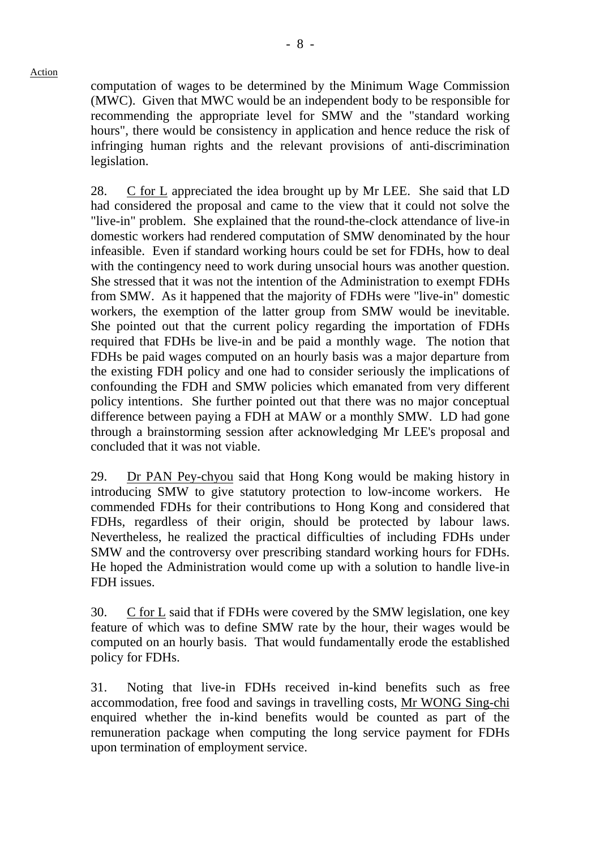computation of wages to be determined by the Minimum Wage Commission (MWC). Given that MWC would be an independent body to be responsible for recommending the appropriate level for SMW and the "standard working hours", there would be consistency in application and hence reduce the risk of infringing human rights and the relevant provisions of anti-discrimination legislation.

28. C for L appreciated the idea brought up by Mr LEE. She said that LD had considered the proposal and came to the view that it could not solve the "live-in" problem. She explained that the round-the-clock attendance of live-in domestic workers had rendered computation of SMW denominated by the hour infeasible. Even if standard working hours could be set for FDHs, how to deal with the contingency need to work during unsocial hours was another question. She stressed that it was not the intention of the Administration to exempt FDHs from SMW. As it happened that the majority of FDHs were "live-in" domestic workers, the exemption of the latter group from SMW would be inevitable. She pointed out that the current policy regarding the importation of FDHs required that FDHs be live-in and be paid a monthly wage. The notion that FDHs be paid wages computed on an hourly basis was a major departure from the existing FDH policy and one had to consider seriously the implications of confounding the FDH and SMW policies which emanated from very different policy intentions. She further pointed out that there was no major conceptual difference between paying a FDH at MAW or a monthly SMW. LD had gone through a brainstorming session after acknowledging Mr LEE's proposal and concluded that it was not viable.

29. Dr PAN Pey-chyou said that Hong Kong would be making history in introducing SMW to give statutory protection to low-income workers. He commended FDHs for their contributions to Hong Kong and considered that FDHs, regardless of their origin, should be protected by labour laws. Nevertheless, he realized the practical difficulties of including FDHs under SMW and the controversy over prescribing standard working hours for FDHs. He hoped the Administration would come up with a solution to handle live-in FDH issues.

30. C for L said that if FDHs were covered by the SMW legislation, one key feature of which was to define SMW rate by the hour, their wages would be computed on an hourly basis. That would fundamentally erode the established policy for FDHs.

31. Noting that live-in FDHs received in-kind benefits such as free accommodation, free food and savings in travelling costs, Mr WONG Sing-chi enquired whether the in-kind benefits would be counted as part of the remuneration package when computing the long service payment for FDHs upon termination of employment service.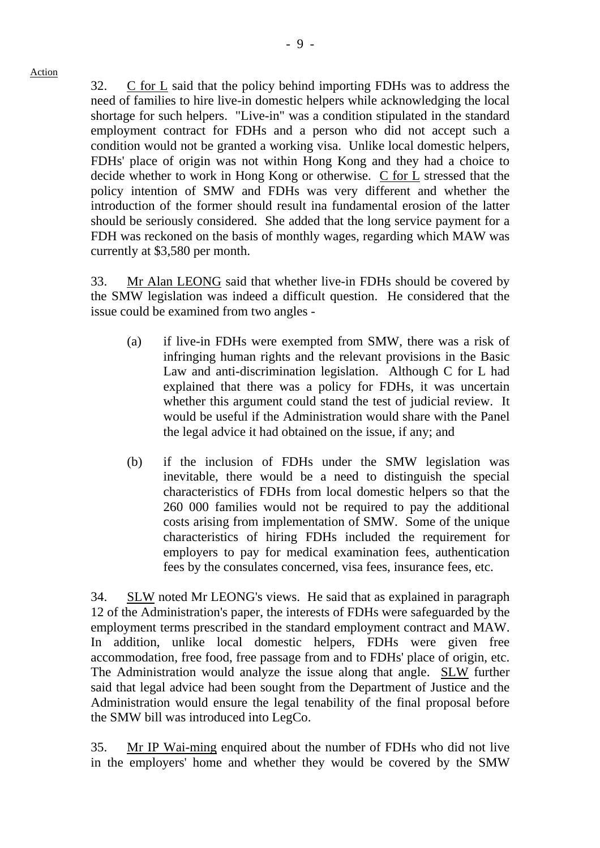32. C for L said that the policy behind importing FDHs was to address the need of families to hire live-in domestic helpers while acknowledging the local shortage for such helpers. "Live-in" was a condition stipulated in the standard employment contract for FDHs and a person who did not accept such a condition would not be granted a working visa. Unlike local domestic helpers, FDHs' place of origin was not within Hong Kong and they had a choice to decide whether to work in Hong Kong or otherwise. C for L stressed that the policy intention of SMW and FDHs was very different and whether the introduction of the former should result ina fundamental erosion of the latter should be seriously considered. She added that the long service payment for a FDH was reckoned on the basis of monthly wages, regarding which MAW was currently at \$3,580 per month.

33. Mr Alan LEONG said that whether live-in FDHs should be covered by the SMW legislation was indeed a difficult question. He considered that the issue could be examined from two angles -

- (a) if live-in FDHs were exempted from SMW, there was a risk of infringing human rights and the relevant provisions in the Basic Law and anti-discrimination legislation. Although C for L had explained that there was a policy for FDHs, it was uncertain whether this argument could stand the test of judicial review. It would be useful if the Administration would share with the Panel the legal advice it had obtained on the issue, if any; and
- (b) if the inclusion of FDHs under the SMW legislation was inevitable, there would be a need to distinguish the special characteristics of FDHs from local domestic helpers so that the 260 000 families would not be required to pay the additional costs arising from implementation of SMW. Some of the unique characteristics of hiring FDHs included the requirement for employers to pay for medical examination fees, authentication fees by the consulates concerned, visa fees, insurance fees, etc.

34. SLW noted Mr LEONG's views. He said that as explained in paragraph 12 of the Administration's paper, the interests of FDHs were safeguarded by the employment terms prescribed in the standard employment contract and MAW. In addition, unlike local domestic helpers, FDHs were given free accommodation, free food, free passage from and to FDHs' place of origin, etc. The Administration would analyze the issue along that angle. SLW further said that legal advice had been sought from the Department of Justice and the Administration would ensure the legal tenability of the final proposal before the SMW bill was introduced into LegCo.

35. Mr IP Wai-ming enquired about the number of FDHs who did not live in the employers' home and whether they would be covered by the SMW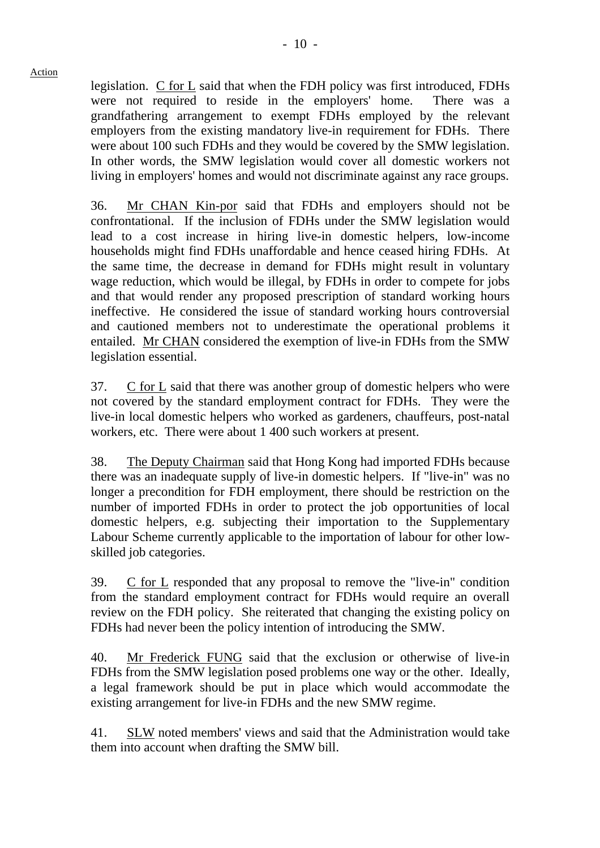legislation. C for L said that when the FDH policy was first introduced, FDHs were not required to reside in the employers' home. There was a grandfathering arrangement to exempt FDHs employed by the relevant employers from the existing mandatory live-in requirement for FDHs. There were about 100 such FDHs and they would be covered by the SMW legislation. In other words, the SMW legislation would cover all domestic workers not living in employers' homes and would not discriminate against any race groups.

36. Mr CHAN Kin-por said that FDHs and employers should not be confrontational. If the inclusion of FDHs under the SMW legislation would lead to a cost increase in hiring live-in domestic helpers, low-income households might find FDHs unaffordable and hence ceased hiring FDHs. At the same time, the decrease in demand for FDHs might result in voluntary wage reduction, which would be illegal, by FDHs in order to compete for jobs and that would render any proposed prescription of standard working hours ineffective. He considered the issue of standard working hours controversial and cautioned members not to underestimate the operational problems it entailed. Mr CHAN considered the exemption of live-in FDHs from the SMW legislation essential.

37. C for L said that there was another group of domestic helpers who were not covered by the standard employment contract for FDHs. They were the live-in local domestic helpers who worked as gardeners, chauffeurs, post-natal workers, etc. There were about 1 400 such workers at present.

38. The Deputy Chairman said that Hong Kong had imported FDHs because there was an inadequate supply of live-in domestic helpers. If "live-in" was no longer a precondition for FDH employment, there should be restriction on the number of imported FDHs in order to protect the job opportunities of local domestic helpers, e.g. subjecting their importation to the Supplementary Labour Scheme currently applicable to the importation of labour for other lowskilled job categories.

39. C for L responded that any proposal to remove the "live-in" condition from the standard employment contract for FDHs would require an overall review on the FDH policy. She reiterated that changing the existing policy on FDHs had never been the policy intention of introducing the SMW.

40. Mr Frederick FUNG said that the exclusion or otherwise of live-in FDHs from the SMW legislation posed problems one way or the other. Ideally, a legal framework should be put in place which would accommodate the existing arrangement for live-in FDHs and the new SMW regime.

41. SLW noted members' views and said that the Administration would take them into account when drafting the SMW bill.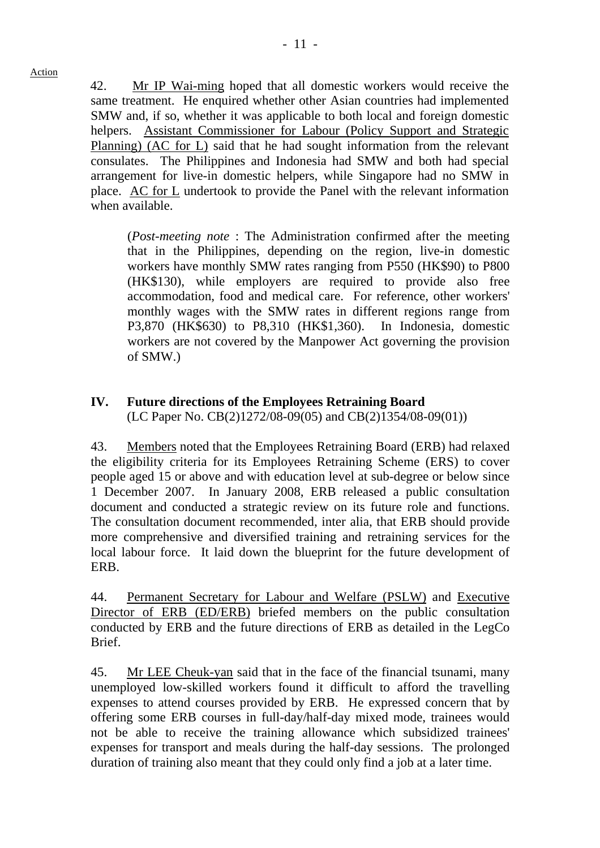42. Mr IP Wai-ming hoped that all domestic workers would receive the same treatment. He enquired whether other Asian countries had implemented SMW and, if so, whether it was applicable to both local and foreign domestic helpers. Assistant Commissioner for Labour (Policy Support and Strategic Planning) (AC for L) said that he had sought information from the relevant consulates. The Philippines and Indonesia had SMW and both had special arrangement for live-in domestic helpers, while Singapore had no SMW in place. AC for L undertook to provide the Panel with the relevant information when available.

(*Post-meeting note* : The Administration confirmed after the meeting that in the Philippines, depending on the region, live-in domestic workers have monthly SMW rates ranging from P550 (HK\$90) to P800 (HK\$130), while employers are required to provide also free accommodation, food and medical care. For reference, other workers' monthly wages with the SMW rates in different regions range from P3,870 (HK\$630) to P8,310 (HK\$1,360). In Indonesia, domestic workers are not covered by the Manpower Act governing the provision of SMW.)

## **IV. Future directions of the Employees Retraining Board**  (LC Paper No. CB(2)1272/08-09(05) and CB(2)1354/08-09(01))

43. Members noted that the Employees Retraining Board (ERB) had relaxed the eligibility criteria for its Employees Retraining Scheme (ERS) to cover people aged 15 or above and with education level at sub-degree or below since 1 December 2007. In January 2008, ERB released a public consultation document and conducted a strategic review on its future role and functions. The consultation document recommended, inter alia, that ERB should provide more comprehensive and diversified training and retraining services for the local labour force. It laid down the blueprint for the future development of ERB.

44. Permanent Secretary for Labour and Welfare (PSLW) and Executive Director of ERB (ED/ERB) briefed members on the public consultation conducted by ERB and the future directions of ERB as detailed in the LegCo Brief.

45. Mr LEE Cheuk-yan said that in the face of the financial tsunami, many unemployed low-skilled workers found it difficult to afford the travelling expenses to attend courses provided by ERB. He expressed concern that by offering some ERB courses in full-day/half-day mixed mode, trainees would not be able to receive the training allowance which subsidized trainees' expenses for transport and meals during the half-day sessions. The prolonged duration of training also meant that they could only find a job at a later time.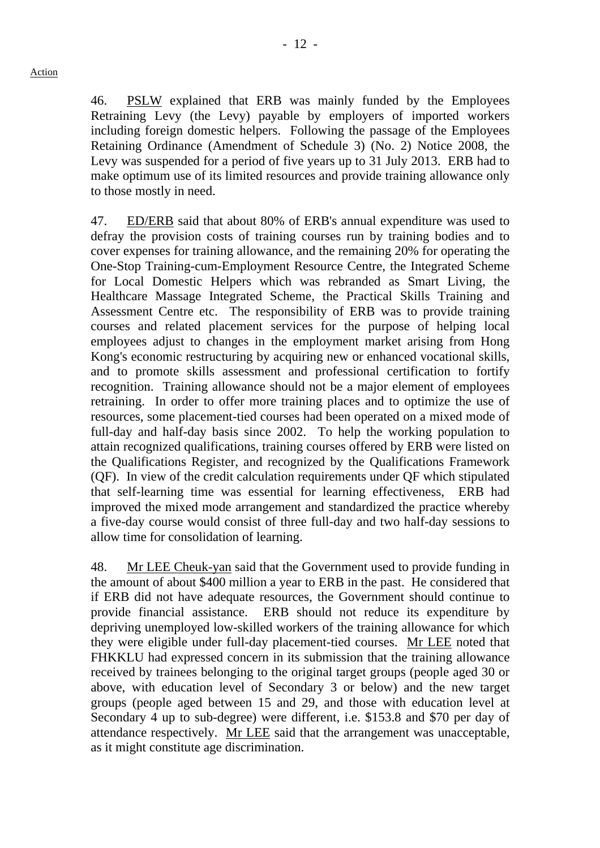46. PSLW explained that ERB was mainly funded by the Employees Retraining Levy (the Levy) payable by employers of imported workers including foreign domestic helpers. Following the passage of the Employees Retaining Ordinance (Amendment of Schedule 3) (No. 2) Notice 2008, the Levy was suspended for a period of five years up to 31 July 2013. ERB had to make optimum use of its limited resources and provide training allowance only to those mostly in need.

47. ED/ERB said that about 80% of ERB's annual expenditure was used to defray the provision costs of training courses run by training bodies and to cover expenses for training allowance, and the remaining 20% for operating the One-Stop Training-cum-Employment Resource Centre, the Integrated Scheme for Local Domestic Helpers which was rebranded as Smart Living, the Healthcare Massage Integrated Scheme, the Practical Skills Training and Assessment Centre etc. The responsibility of ERB was to provide training courses and related placement services for the purpose of helping local employees adjust to changes in the employment market arising from Hong Kong's economic restructuring by acquiring new or enhanced vocational skills, and to promote skills assessment and professional certification to fortify recognition. Training allowance should not be a major element of employees retraining. In order to offer more training places and to optimize the use of resources, some placement-tied courses had been operated on a mixed mode of full-day and half-day basis since 2002. To help the working population to attain recognized qualifications, training courses offered by ERB were listed on the Qualifications Register, and recognized by the Qualifications Framework (QF). In view of the credit calculation requirements under QF which stipulated that self-learning time was essential for learning effectiveness, ERB had improved the mixed mode arrangement and standardized the practice whereby a five-day course would consist of three full-day and two half-day sessions to allow time for consolidation of learning.

48. Mr LEE Cheuk-yan said that the Government used to provide funding in the amount of about \$400 million a year to ERB in the past. He considered that if ERB did not have adequate resources, the Government should continue to provide financial assistance. ERB should not reduce its expenditure by depriving unemployed low-skilled workers of the training allowance for which they were eligible under full-day placement-tied courses. Mr LEE noted that FHKKLU had expressed concern in its submission that the training allowance received by trainees belonging to the original target groups (people aged 30 or above, with education level of Secondary 3 or below) and the new target groups (people aged between 15 and 29, and those with education level at Secondary 4 up to sub-degree) were different, i.e. \$153.8 and \$70 per day of attendance respectively. Mr LEE said that the arrangement was unacceptable, as it might constitute age discrimination.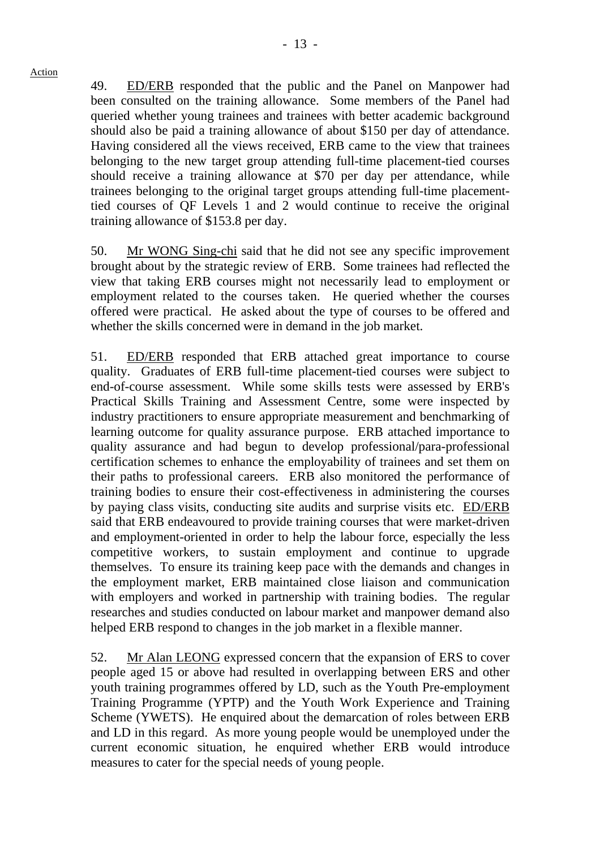49. ED/ERB responded that the public and the Panel on Manpower had been consulted on the training allowance. Some members of the Panel had queried whether young trainees and trainees with better academic background should also be paid a training allowance of about \$150 per day of attendance. Having considered all the views received, ERB came to the view that trainees belonging to the new target group attending full-time placement-tied courses should receive a training allowance at \$70 per day per attendance, while trainees belonging to the original target groups attending full-time placementtied courses of QF Levels 1 and 2 would continue to receive the original training allowance of \$153.8 per day.

50. Mr WONG Sing-chi said that he did not see any specific improvement brought about by the strategic review of ERB. Some trainees had reflected the view that taking ERB courses might not necessarily lead to employment or employment related to the courses taken. He queried whether the courses offered were practical. He asked about the type of courses to be offered and whether the skills concerned were in demand in the job market.

51. ED/ERB responded that ERB attached great importance to course quality. Graduates of ERB full-time placement-tied courses were subject to end-of-course assessment. While some skills tests were assessed by ERB's Practical Skills Training and Assessment Centre, some were inspected by industry practitioners to ensure appropriate measurement and benchmarking of learning outcome for quality assurance purpose. ERB attached importance to quality assurance and had begun to develop professional/para-professional certification schemes to enhance the employability of trainees and set them on their paths to professional careers. ERB also monitored the performance of training bodies to ensure their cost-effectiveness in administering the courses by paying class visits, conducting site audits and surprise visits etc. ED/ERB said that ERB endeavoured to provide training courses that were market-driven and employment-oriented in order to help the labour force, especially the less competitive workers, to sustain employment and continue to upgrade themselves. To ensure its training keep pace with the demands and changes in the employment market, ERB maintained close liaison and communication with employers and worked in partnership with training bodies. The regular researches and studies conducted on labour market and manpower demand also helped ERB respond to changes in the job market in a flexible manner.

52. Mr Alan LEONG expressed concern that the expansion of ERS to cover people aged 15 or above had resulted in overlapping between ERS and other youth training programmes offered by LD, such as the Youth Pre-employment Training Programme (YPTP) and the Youth Work Experience and Training Scheme (YWETS). He enquired about the demarcation of roles between ERB and LD in this regard. As more young people would be unemployed under the current economic situation, he enquired whether ERB would introduce measures to cater for the special needs of young people.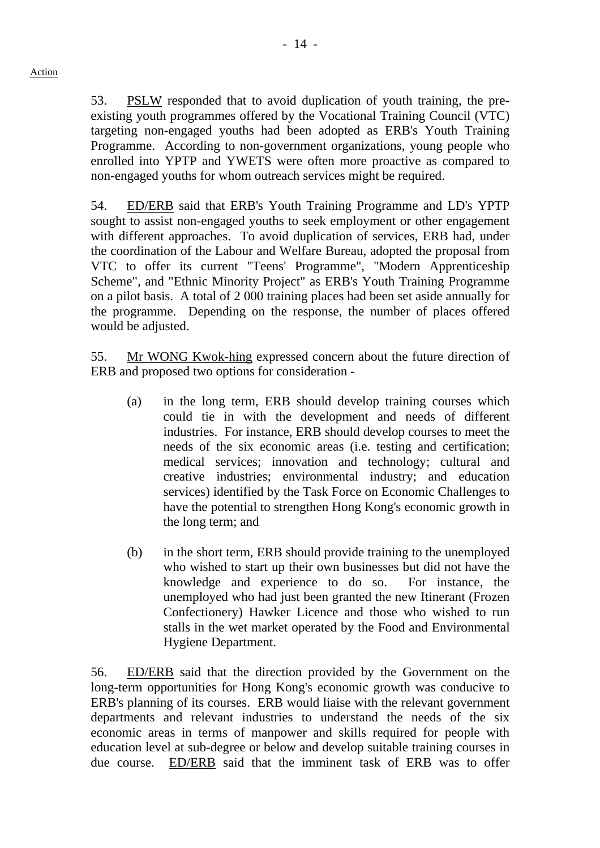53. PSLW responded that to avoid duplication of youth training, the preexisting youth programmes offered by the Vocational Training Council (VTC) targeting non-engaged youths had been adopted as ERB's Youth Training Programme. According to non-government organizations, young people who enrolled into YPTP and YWETS were often more proactive as compared to non-engaged youths for whom outreach services might be required.

54. ED/ERB said that ERB's Youth Training Programme and LD's YPTP sought to assist non-engaged youths to seek employment or other engagement with different approaches. To avoid duplication of services, ERB had, under the coordination of the Labour and Welfare Bureau, adopted the proposal from VTC to offer its current "Teens' Programme", "Modern Apprenticeship Scheme", and "Ethnic Minority Project" as ERB's Youth Training Programme on a pilot basis. A total of 2 000 training places had been set aside annually for the programme. Depending on the response, the number of places offered would be adjusted.

55. Mr WONG Kwok-hing expressed concern about the future direction of ERB and proposed two options for consideration -

- (a) in the long term, ERB should develop training courses which could tie in with the development and needs of different industries. For instance, ERB should develop courses to meet the needs of the six economic areas (i.e. testing and certification; medical services; innovation and technology; cultural and creative industries; environmental industry; and education services) identified by the Task Force on Economic Challenges to have the potential to strengthen Hong Kong's economic growth in the long term; and
- (b) in the short term, ERB should provide training to the unemployed who wished to start up their own businesses but did not have the knowledge and experience to do so. For instance, the unemployed who had just been granted the new Itinerant (Frozen Confectionery) Hawker Licence and those who wished to run stalls in the wet market operated by the Food and Environmental Hygiene Department.

56. ED/ERB said that the direction provided by the Government on the long-term opportunities for Hong Kong's economic growth was conducive to ERB's planning of its courses. ERB would liaise with the relevant government departments and relevant industries to understand the needs of the six economic areas in terms of manpower and skills required for people with education level at sub-degree or below and develop suitable training courses in due course. ED/ERB said that the imminent task of ERB was to offer